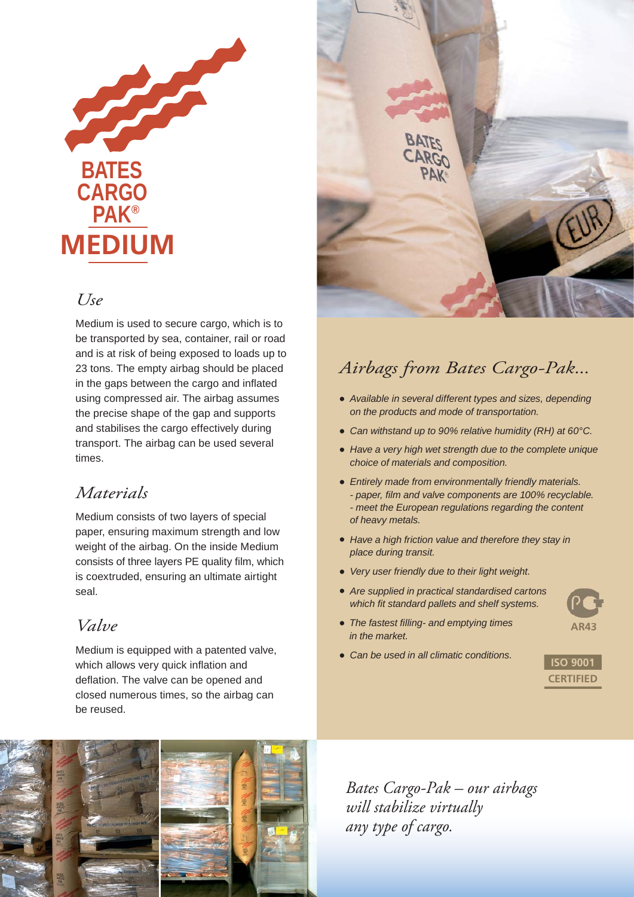

### *Use*

Medium is used to secure cargo, which is to be transported by sea, container, rail or road and is at risk of being exposed to loads up to 23 tons. The empty airbag should be placed in the gaps between the cargo and inflated using compressed air. The airbag assumes the precise shape of the gap and supports and stabilises the cargo effectively during transport. The airbag can be used several times.

## *Materials*

Medium consists of two layers of special paper, ensuring maximum strength and low weight of the airbag. On the inside Medium consists of three layers PE quality film, which is coextruded, ensuring an ultimate airtight seal.

## *Valve*

Medium is equipped with a patented valve, which allows very quick inflation and deflation. The valve can be opened and closed numerous times, so the airbag can be reused.



## *Airbags from Bates Cargo-Pak...*

- *Available in several different types and sizes, depending on the products and mode of transportation.*
- *Can withstand up to 90% relative humidity (RH) at 60°C.*
- *Have a very high wet strength due to the complete unique choice of materials and composition.*
- *Entirely made from environmentally friendly materials. - paper, fi lm and valve components are 100% recyclable. - meet the European regulations regarding the content of heavy metals.*
- *Have a high friction value and therefore they stay in place during transit.*
- *Very user friendly due to their light weight.*
- *Are supplied in practical standardised cartons which fit standard pallets and shelf systems.*
- **AR43**
- *The fastest fi lling- and emptying times in the market.*
- *Can be used in all climatic conditions.*





*Bates Cargo-Pak – our airbags will stabilize virtually any type of cargo.*